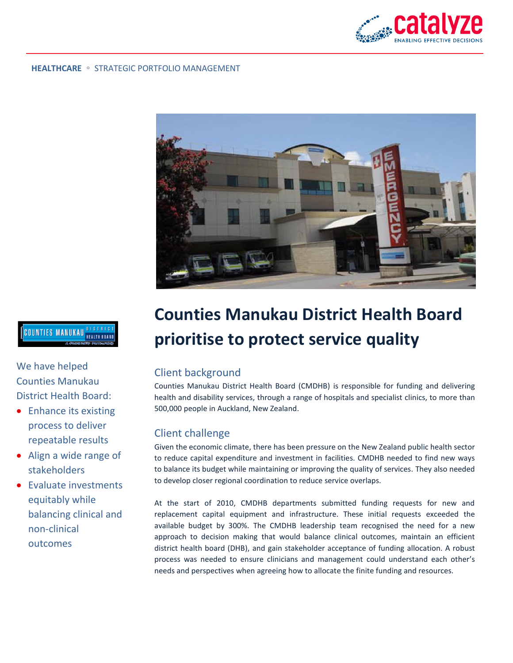

#### **HEALTHCARE** ◦ STRATEGIC PORTFOLIO MANAGEMENT



# **COUNTIES MANUKAU DISTRICT**

We have helped Counties Manukau District Health Board:

- Enhance its existing process to deliver repeatable results
- Align a wide range of stakeholders
- Evaluate investments equitably while balancing clinical and non-clinical outcomes

# **Counties Manukau District Health Board prioritise to protect service quality**

## Client background

Counties Manukau District Health Board (CMDHB) is responsible for funding and delivering health and disability services, through a range of hospitals and specialist clinics, to more than 500,000 people in Auckland, New Zealand.

#### Client challenge

Given the economic climate, there has been pressure on the New Zealand public health sector to reduce capital expenditure and investment in facilities. CMDHB needed to find new ways to balance its budget while maintaining or improving the quality of services. They also needed to develop closer regional coordination to reduce service overlaps.

At the start of 2010, CMDHB departments submitted funding requests for new and replacement capital equipment and infrastructure. These initial requests exceeded the available budget by 300%. The CMDHB leadership team recognised the need for a new approach to decision making that would balance clinical outcomes, maintain an efficient district health board (DHB), and gain stakeholder acceptance of funding allocation. A robust process was needed to ensure clinicians and management could understand each other's needs and perspectives when agreeing how to allocate the finite funding and resources.